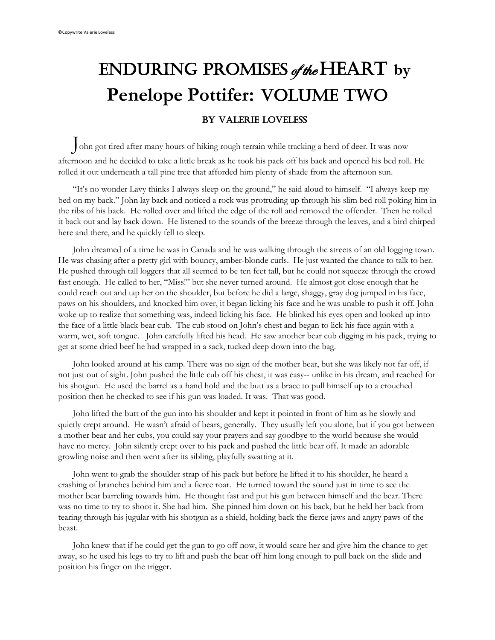## Enduring Promises of the Heart **by** Penelope Pottifer: VOLUME TWO By Valerie Loveless

John got tired after many hours of hiking rough terrain while tracking a herd of deer. It was now afternoon and he decided to take a little break as he took his pack off his back and opened his bed roll. He rolled it out underneath a tall pine tree that afforded him plenty of shade from the afternoon sun.

"It's no wonder Lavy thinks I always sleep on the ground," he said aloud to himself. "I always keep my bed on my back." John lay back and noticed a rock was protruding up through his slim bed roll poking him in the ribs of his back. He rolled over and lifted the edge of the roll and removed the offender. Then he rolled it back out and lay back down. He listened to the sounds of the breeze through the leaves, and a bird chirped here and there, and he quickly fell to sleep.

John dreamed of a time he was in Canada and he was walking through the streets of an old logging town. He was chasing after a pretty girl with bouncy, amber-blonde curls. He just wanted the chance to talk to her. He pushed through tall loggers that all seemed to be ten feet tall, but he could not squeeze through the crowd fast enough. He called to her, "Miss!" but she never turned around. He almost got close enough that he could reach out and tap her on the shoulder, but before he did a large, shaggy, gray dog jumped in his face, paws on his shoulders, and knocked him over, it began licking his face and he was unable to push it off. John woke up to realize that something was, indeed licking his face. He blinked his eyes open and looked up into the face of a little black bear cub. The cub stood on John's chest and began to lick his face again with a warm, wet, soft tongue. John carefully lifted his head. He saw another bear cub digging in his pack, trying to get at some dried beef he had wrapped in a sack, tucked deep down into the bag.

John looked around at his camp. There was no sign of the mother bear, but she was likely not far off, if not just out of sight. John pushed the little cub off his chest, it was easy-- unlike in his dream, and reached for his shotgun. He used the barrel as a hand hold and the butt as a brace to pull himself up to a crouched position then he checked to see if his gun was loaded. It was. That was good.

John lifted the butt of the gun into his shoulder and kept it pointed in front of him as he slowly and quietly crept around. He wasn't afraid of bears, generally. They usually left you alone, but if you got between a mother bear and her cubs, you could say your prayers and say goodbye to the world because she would have no mercy. John silently crept over to his pack and pushed the little bear off. It made an adorable growling noise and then went after its sibling, playfully swatting at it.

John went to grab the shoulder strap of his pack but before he lifted it to his shoulder, he heard a crashing of branches behind him and a fierce roar. He turned toward the sound just in time to see the mother bear barreling towards him. He thought fast and put his gun between himself and the bear. There was no time to try to shoot it. She had him. She pinned him down on his back, but he held her back from tearing through his jugular with his shotgun as a shield, holding back the fierce jaws and angry paws of the beast.

John knew that if he could get the gun to go off now, it would scare her and give him the chance to get away, so he used his legs to try to lift and push the bear off him long enough to pull back on the slide and position his finger on the trigger.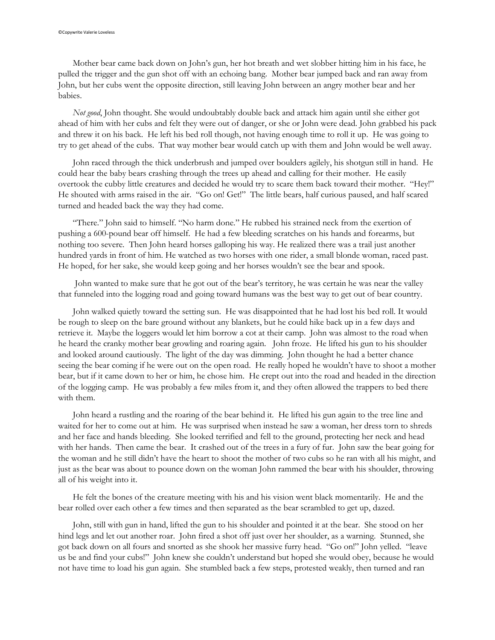Mother bear came back down on John's gun, her hot breath and wet slobber hitting him in his face, he pulled the trigger and the gun shot off with an echoing bang. Mother bear jumped back and ran away from John, but her cubs went the opposite direction, still leaving John between an angry mother bear and her babies.

*Not good*, John thought. She would undoubtably double back and attack him again until she either got ahead of him with her cubs and felt they were out of danger, or she or John were dead. John grabbed his pack and threw it on his back. He left his bed roll though, not having enough time to roll it up. He was going to try to get ahead of the cubs. That way mother bear would catch up with them and John would be well away.

John raced through the thick underbrush and jumped over boulders agilely, his shotgun still in hand. He could hear the baby bears crashing through the trees up ahead and calling for their mother. He easily overtook the cubby little creatures and decided he would try to scare them back toward their mother. "Hey!" He shouted with arms raised in the air. "Go on! Get!" The little bears, half curious paused, and half scared turned and headed back the way they had come.

"There." John said to himself. "No harm done." He rubbed his strained neck from the exertion of pushing a 600-pound bear off himself. He had a few bleeding scratches on his hands and forearms, but nothing too severe. Then John heard horses galloping his way. He realized there was a trail just another hundred yards in front of him. He watched as two horses with one rider, a small blonde woman, raced past. He hoped, for her sake, she would keep going and her horses wouldn't see the bear and spook.

John wanted to make sure that he got out of the bear's territory, he was certain he was near the valley that funneled into the logging road and going toward humans was the best way to get out of bear country.

John walked quietly toward the setting sun. He was disappointed that he had lost his bed roll. It would be rough to sleep on the bare ground without any blankets, but he could hike back up in a few days and retrieve it. Maybe the loggers would let him borrow a cot at their camp. John was almost to the road when he heard the cranky mother bear growling and roaring again. John froze. He lifted his gun to his shoulder and looked around cautiously. The light of the day was dimming. John thought he had a better chance seeing the bear coming if he were out on the open road. He really hoped he wouldn't have to shoot a mother bear, but if it came down to her or him, he chose him. He crept out into the road and headed in the direction of the logging camp. He was probably a few miles from it, and they often allowed the trappers to bed there with them.

John heard a rustling and the roaring of the bear behind it. He lifted his gun again to the tree line and waited for her to come out at him. He was surprised when instead he saw a woman, her dress torn to shreds and her face and hands bleeding. She looked terrified and fell to the ground, protecting her neck and head with her hands. Then came the bear. It crashed out of the trees in a fury of fur. John saw the bear going for the woman and he still didn't have the heart to shoot the mother of two cubs so he ran with all his might, and just as the bear was about to pounce down on the woman John rammed the bear with his shoulder, throwing all of his weight into it.

He felt the bones of the creature meeting with his and his vision went black momentarily. He and the bear rolled over each other a few times and then separated as the bear scrambled to get up, dazed.

John, still with gun in hand, lifted the gun to his shoulder and pointed it at the bear. She stood on her hind legs and let out another roar. John fired a shot off just over her shoulder, as a warning. Stunned, she got back down on all fours and snorted as she shook her massive furry head. "Go on!" John yelled. "leave us be and find your cubs!" John knew she couldn't understand but hoped she would obey, because he would not have time to load his gun again. She stumbled back a few steps, protested weakly, then turned and ran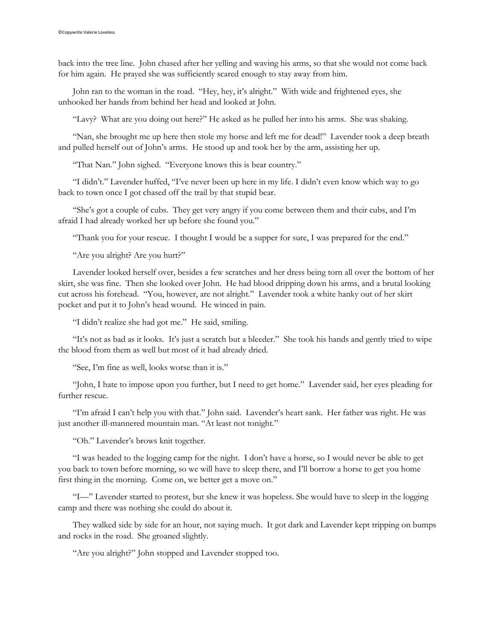back into the tree line. John chased after her yelling and waving his arms, so that she would not come back for him again. He prayed she was sufficiently scared enough to stay away from him.

John ran to the woman in the road. "Hey, hey, it's alright." With wide and frightened eyes, she unhooked her hands from behind her head and looked at John.

"Lavy? What are you doing out here?" He asked as he pulled her into his arms. She was shaking.

"Nan, she brought me up here then stole my horse and left me for dead!" Lavender took a deep breath and pulled herself out of John's arms. He stood up and took her by the arm, assisting her up.

"That Nan." John sighed. "Everyone knows this is bear country."

"I didn't." Lavender huffed, "I've never been up here in my life. I didn't even know which way to go back to town once I got chased off the trail by that stupid bear.

"She's got a couple of cubs. They get very angry if you come between them and their cubs, and I'm afraid I had already worked her up before she found you."

"Thank you for your rescue. I thought I would be a supper for sure, I was prepared for the end."

"Are you alright? Are you hurt?"

Lavender looked herself over, besides a few scratches and her dress being torn all over the bottom of her skirt, she was fine. Then she looked over John. He had blood dripping down his arms, and a brutal looking cut across his forehead. "You, however, are not alright." Lavender took a white hanky out of her skirt pocket and put it to John's head wound. He winced in pain.

"I didn't realize she had got me." He said, smiling.

"It's not as bad as it looks. It's just a scratch but a bleeder." She took his hands and gently tried to wipe the blood from them as well but most of it had already dried.

"See, I'm fine as well, looks worse than it is."

"John, I hate to impose upon you further, but I need to get home." Lavender said, her eyes pleading for further rescue.

"I'm afraid I can't help you with that." John said. Lavender's heart sank. Her father was right. He was just another ill-mannered mountain man. "At least not tonight."

"Oh." Lavender's brows knit together.

"I was headed to the logging camp for the night. I don't have a horse, so I would never be able to get you back to town before morning, so we will have to sleep there, and I'll borrow a horse to get you home first thing in the morning. Come on, we better get a move on."

"I—" Lavender started to protest, but she knew it was hopeless. She would have to sleep in the logging camp and there was nothing she could do about it.

They walked side by side for an hour, not saying much. It got dark and Lavender kept tripping on bumps and rocks in the road. She groaned slightly.

"Are you alright?" John stopped and Lavender stopped too.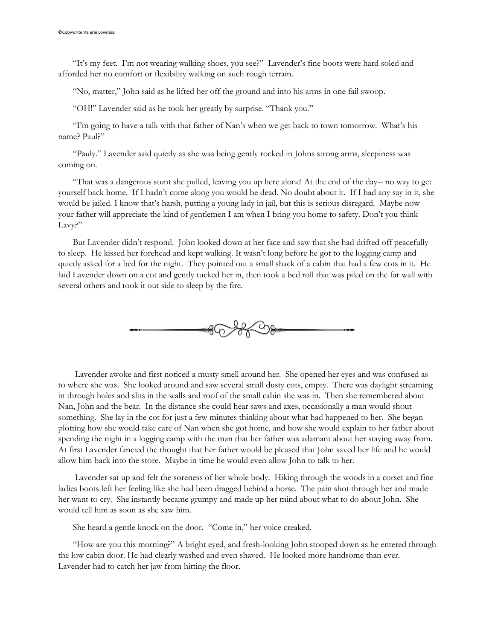"It's my feet. I'm not wearing walking shoes, you see?" Lavender's fine boots were hard soled and afforded her no comfort or flexibility walking on such rough terrain.

"No, matter," John said as he lifted her off the ground and into his arms in one fail swoop.

"OH!" Lavender said as he took her greatly by surprise. "Thank you."

"I'm going to have a talk with that father of Nan's when we get back to town tomorrow. What's his name? Paul?"

"Pauly." Lavender said quietly as she was being gently rocked in Johns strong arms, sleepiness was coming on.

"That was a dangerous stunt she pulled, leaving you up here alone! At the end of the day-- no way to get yourself back home. If I hadn't come along you would be dead. No doubt about it. If I had any say in it, she would be jailed. I know that's harsh, putting a young lady in jail, but this is serious disregard. Maybe now your father will appreciate the kind of gentlemen I am when I bring you home to safety. Don't you think Lavy?"

But Lavender didn't respond. John looked down at her face and saw that she had drifted off peacefully to sleep. He kissed her forehead and kept walking. It wasn't long before he got to the logging camp and quietly asked for a bed for the night. They pointed out a small shack of a cabin that had a few cots in it. He laid Lavender down on a cot and gently tucked her in, then took a bed roll that was piled on the far wall with several others and took it out side to sleep by the fire.



Lavender awoke and first noticed a musty smell around her. She opened her eyes and was confused as to where she was. She looked around and saw several small dusty cots, empty. There was daylight streaming in through holes and slits in the walls and roof of the small cabin she was in. Then she remembered about Nan, John and the bear. In the distance she could hear saws and axes, occasionally a man would shout something. She lay in the cot for just a few minutes thinking about what had happened to her. She began plotting how she would take care of Nan when she got home, and how she would explain to her father about spending the night in a logging camp with the man that her father was adamant about her staying away from. At first Lavender fancied the thought that her father would be pleased that John saved her life and he would allow him back into the store. Maybe in time he would even allow John to talk to her.

Lavender sat up and felt the soreness of her whole body. Hiking through the woods in a corset and fine ladies boots left her feeling like she had been dragged behind a horse. The pain shot through her and made her want to cry. She instantly became grumpy and made up her mind about what to do about John. She would tell him as soon as she saw him.

She heard a gentle knock on the door. "Come in," her voice creaked.

"How are you this morning?" A bright eyed, and fresh-looking John stooped down as he entered through the low cabin door. He had clearly washed and even shaved. He looked more handsome than ever. Lavender had to catch her jaw from hitting the floor.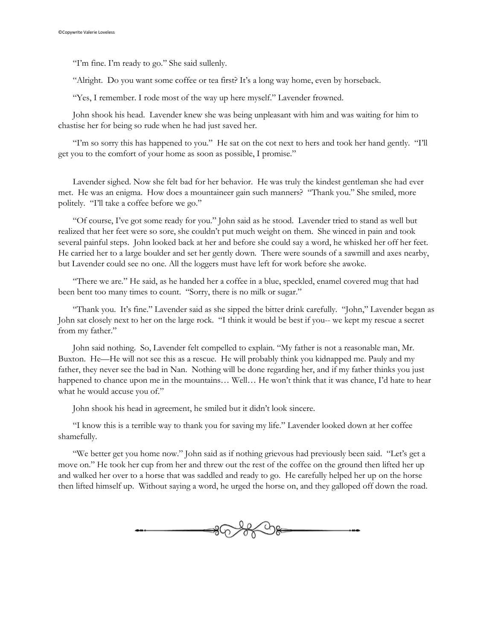"I'm fine. I'm ready to go." She said sullenly.

"Alright. Do you want some coffee or tea first? It's a long way home, even by horseback.

"Yes, I remember. I rode most of the way up here myself." Lavender frowned.

John shook his head. Lavender knew she was being unpleasant with him and was waiting for him to chastise her for being so rude when he had just saved her.

"I'm so sorry this has happened to you." He sat on the cot next to hers and took her hand gently. "I'll get you to the comfort of your home as soon as possible, I promise."

Lavender sighed. Now she felt bad for her behavior. He was truly the kindest gentleman she had ever met. He was an enigma. How does a mountaineer gain such manners? "Thank you." She smiled, more politely. "I'll take a coffee before we go."

"Of course, I've got some ready for you." John said as he stood. Lavender tried to stand as well but realized that her feet were so sore, she couldn't put much weight on them. She winced in pain and took several painful steps. John looked back at her and before she could say a word, he whisked her off her feet. He carried her to a large boulder and set her gently down. There were sounds of a sawmill and axes nearby, but Lavender could see no one. All the loggers must have left for work before she awoke.

"There we are." He said, as he handed her a coffee in a blue, speckled, enamel covered mug that had been bent too many times to count. "Sorry, there is no milk or sugar."

"Thank you. It's fine." Lavender said as she sipped the bitter drink carefully. "John," Lavender began as John sat closely next to her on the large rock. "I think it would be best if you-- we kept my rescue a secret from my father."

John said nothing. So, Lavender felt compelled to explain. "My father is not a reasonable man, Mr. Buxton. He—He will not see this as a rescue. He will probably think you kidnapped me. Pauly and my father, they never see the bad in Nan. Nothing will be done regarding her, and if my father thinks you just happened to chance upon me in the mountains... Well... He won't think that it was chance, I'd hate to hear what he would accuse you of."

John shook his head in agreement, he smiled but it didn't look sincere.

"I know this is a terrible way to thank you for saving my life." Lavender looked down at her coffee shamefully.

"We better get you home now." John said as if nothing grievous had previously been said. "Let's get a move on." He took her cup from her and threw out the rest of the coffee on the ground then lifted her up and walked her over to a horse that was saddled and ready to go. He carefully helped her up on the horse then lifted himself up. Without saying a word, he urged the horse on, and they galloped off down the road.